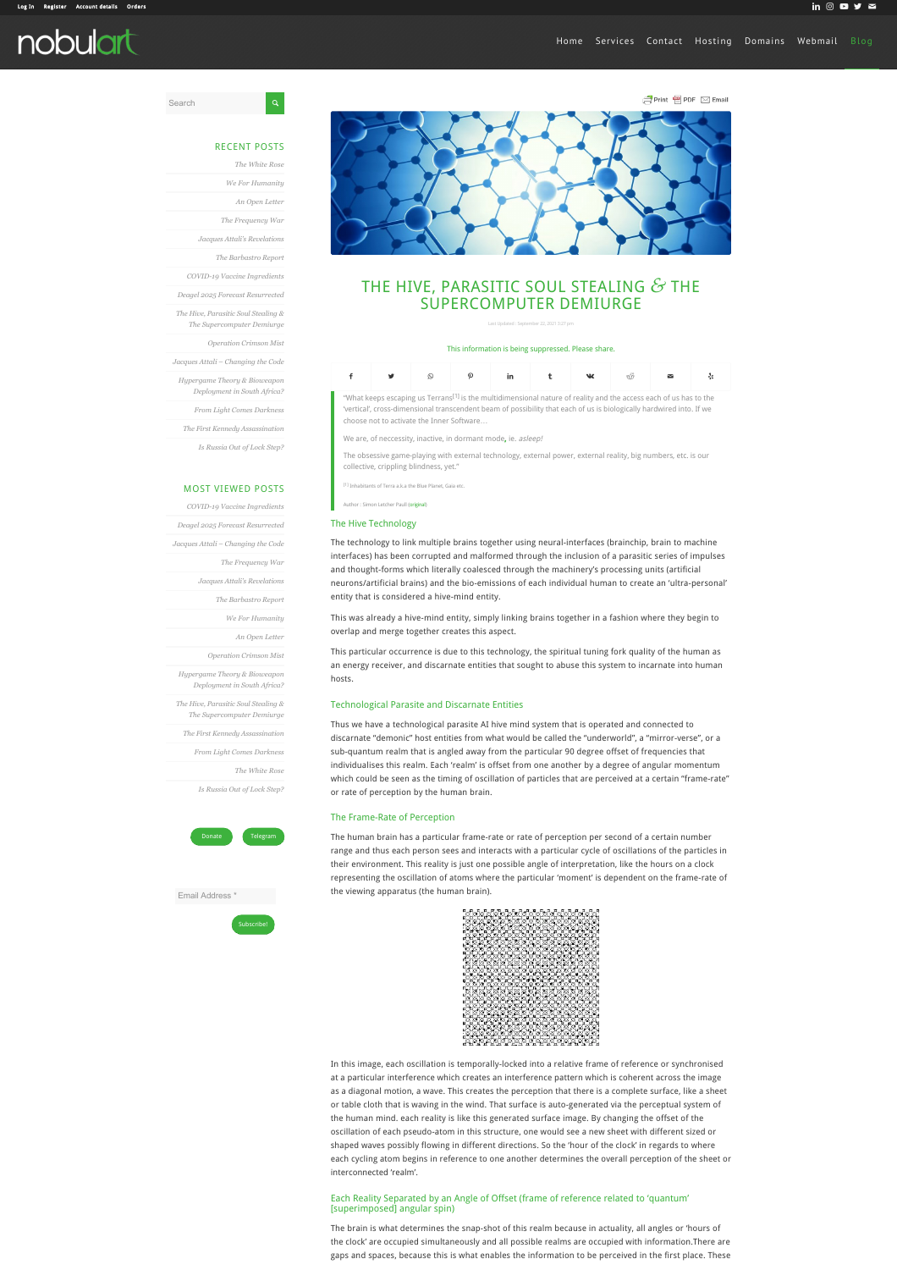# [Register](https://nobulart.com/register/) [Account details](https://nobulart.com/my-account/edit-account/) [Orders](https://nobulart.com/my-account/orders/) **in Exercisies** and the control of the control of the control of the control of the control of the control of the control of the control of the control of the control of the control of the nobulart



de Print ■ PDF ⊠ Email



# THE HIVE, PARASITIC SOUL STEALING *&* THE SUPERCOMPUTER DEMIURGE

#### This information is being suppressed. Please share.

| - f ਤਾਂ ⊙ ? in t ਘ< ਂ ਬ ⊹ |  |  |  |  |  |  |  |  |  |
|---------------------------|--|--|--|--|--|--|--|--|--|
|---------------------------|--|--|--|--|--|--|--|--|--|

"What keeps escaping us Terrans<sup>[1]</sup> is the multidimensional nature of reality and the access each of us has to the 'vertical', cross-dimensional transcendent beam of possibility that each of us is biologically hardwired into. If we choose not to activate the Inner Software…

We are, of neccessity, inactive, in dormant mode, ie. asleep!

The obsessive game-playing with external technology, external power, external reality, big numbers, etc. is our collective, crippling blindness, yet."

<sup>[1]</sup> Inhabitants of Terra a.k.a the Blue Planet, Gaia et

#### The Hive Technology

Author : Simon Letcher Paull ([original](https://nobulart.com/wordpress/wp-content/uploads/2021/08/e3627ee1-55ab-4da6-9a64-988efc9faf7d.jpg))

The technology to link multiple brains together using neural-interfaces (brainchip, brain to machine interfaces) has been corrupted and malformed through the inclusion of a parasitic series of impulses and thought-forms which literally coalesced through the machinery's processing units (artificial neurons/artificial brains) and the bio-emissions of each individual human to create an 'ultra-personal' entity that is considered a hive-mind entity.

This was already a hive-mind entity, simply linking brains together in a fashion where they begin to overlap and merge together creates this aspect.

This particular occurrence is due to this technology, the spiritual tuning fork quality of the human as an energy receiver, and discarnate entities that sought to abuse this system to incarnate into human hosts.

#### Technological Parasite and Discarnate Entities

Thus we have a technological parasite AI hive mind system that is operated and connected to discarnate "demonic" host entities from what would be called the "underworld", a "mirror-verse", or a sub-quantum realm that is angled away from the particular 90 degree offset of frequencies that individualises this realm. Each 'realm' is offset from one another by a degree of angular momentum which could be seen as the timing of oscillation of particles that are perceived at a certain "frame-rate" or rate of perception by the human brain.

# The Frame-Rate of Perception

The human brain has a particular frame-rate or rate of perception per second of a certain number range and thus each person sees and interacts with a particular cycle of oscillations of the particles in their environment. This reality is just one possible angle of interpretation, like the hours on a clock representing the oscillation of atoms where the particular 'moment' is dependent on the frame-rate of the viewing apparatus (the human brain).



In this image, each oscillation is temporally-locked into a relative frame of reference or synchronised at a particular interference which creates an interference pattern which is coherent across the image as a diagonal motion, a wave. This creates the perception that there is a complete surface, like a sheet or table cloth that is waving in the wind. That surface is auto-generated via the perceptual system of the human mind. each reality is like this generated surface image. By changing the offset of the oscillation of each pseudo-atom in this structure, one would see a new sheet with different sized or shaped waves possibly flowing in different directions. So the 'hour of the clock' in regards to where each cycling atom begins in reference to one another determines the overall perception of the sheet or interconnected 'realm'.

#### Each Reality Separated by an Angle of Offset (frame of reference related to 'quantum' [superimposed] angular spin)

The brain is what determines the snap-shot of this realm because in actuality, all angles or 'hours of the clock' are occupied simultaneously and all possible realms are occupied with information.There are gaps and spaces, because this is what enables the information to be perceived in the first place. These

Search

|  |  | - - | $-$ |  |
|--|--|-----|-----|--|

| <b>RECENT POSTS</b>                                               |
|-------------------------------------------------------------------|
| The White Rose                                                    |
| We For Humanitu                                                   |
| An Open Letter                                                    |
| The Frequency War                                                 |
| Jacques Attali's Revelations                                      |
| The Barbastro Report                                              |
| COVID-19 Vaccine Ingredients                                      |
| Deagel 2025 Forecast Resurrected                                  |
| The Hive, Parasitic Soul Stealing &<br>The Supercomputer Demiurge |
| Operation Crimson Mist                                            |
| Jacques Attali - Changing the Code                                |
| Hypergame Theory & Bioweapon<br>Deployment in South Africa?       |
| From Light Comes Darkness                                         |
| The First Kennedy Assassination                                   |
| Is Russia Out of Lock Step?                                       |

| <b>MOST VIEWED POSTS</b>            |
|-------------------------------------|
| COVID-19 Vaccine Ingredients        |
| Deagel 2025 Forecast Resurrected    |
| Jacques Attali - Changing the Code  |
| The Frequency War                   |
| Jacques Attali's Revelations        |
| The Barbastro Report                |
| We For Humanitu                     |
| An Open Letter                      |
| Operation Crimson Mist              |
| Hypergame Theory & Bioweapon        |
| Deployment in South Africa?         |
| The Hive, Parasitic Soul Stealing & |
| The Supercomputer Demiurge          |
| The First Kennedy Assassination     |
| From Light Comes Darkness           |
| The White Rose                      |
| Is Russia Out of Lock Step?         |



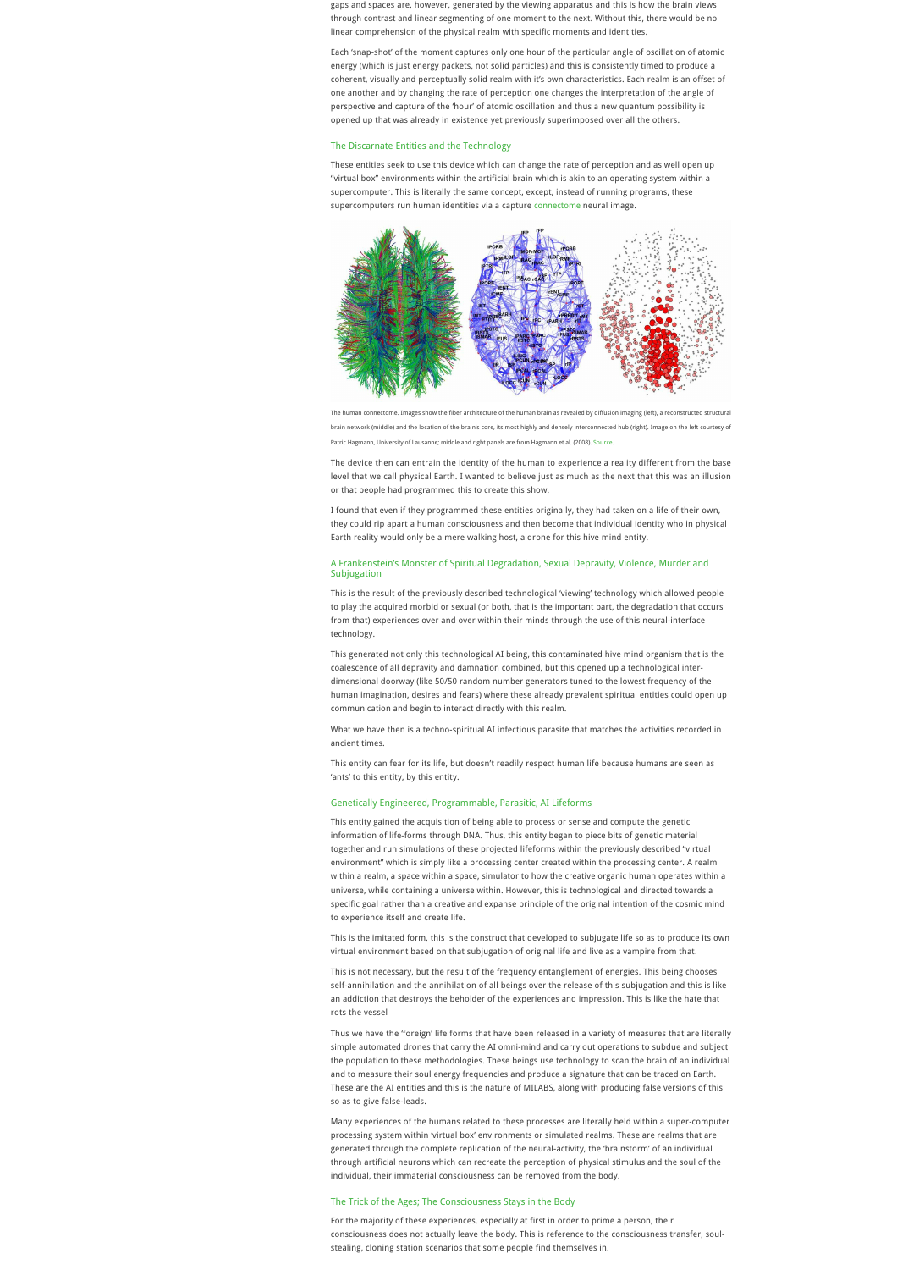gaps and spaces are, however, generated by the viewing apparatus and this is how the brain views through contrast and linear segmenting of one moment to the next. Without this, there would be no linear comprehension of the physical realm with specific moments and identities.

Each 'snap-shot' of the moment captures only one hour of the particular angle of oscillation of atomic energy (which is just energy packets, not solid particles) and this is consistently timed to produce a coherent, visually and perceptually solid realm with it's own characteristics. Each realm is an offset of one another and by changing the rate of perception one changes the interpretation of the angle of perspective and capture of the 'hour' of atomic oscillation and thus a new quantum possibility is opened up that was already in existence yet previously superimposed over all the others.

#### The Discarnate Entities and the Technology

These entities seek to use this device which can change the rate of perception and as well open up "virtual box" environments within the artificial brain which is akin to an operating system within a supercomputer. This is literally the same concept, except, instead of running programs, these supercomputers run human identities via a capture [connectome](http://www.scholarpedia.org/article/Connectome) neural image.



brain network (middle) and the location of the brain's core, its most highly and densely interconnected hub (right). Image on the left courtesy of

Patric Hagmann, University of Lausanne; middle and right panels are from Hagmann et al. (2008). [Source](http://www.scholarpedia.org/article/Connectome).

The device then can entrain the identity of the human to experience a reality different from the base level that we call physical Earth. I wanted to believe just as much as the next that this was an illusion or that people had programmed this to create this show.

I found that even if they programmed these entities originally, they had taken on a life of their own, they could rip apart a human consciousness and then become that individual identity who in physical Earth reality would only be a mere walking host, a drone for this hive mind entity.

#### A Frankenstein's Monster of Spiritual Degradation, Sexual Depravity, Violence, Murder and **Subjugation**

This is the result of the previously described technological 'viewing' technology which allowed people to play the acquired morbid or sexual (or both, that is the important part, the degradation that occurs from that) experiences over and over within their minds through the use of this neural-interface technology.

This generated not only this technological AI being, this contaminated hive mind organism that is the coalescence of all depravity and damnation combined, but this opened up a technological interdimensional doorway (like 50/50 random number generators tuned to the lowest frequency of the human imagination, desires and fears) where these already prevalent spiritual entities could open up communication and begin to interact directly with this realm.

What we have then is a techno-spiritual AI infectious parasite that matches the activities recorded in ancient times.

This entity can fear for its life, but doesn't readily respect human life because humans are seen as 'ants' to this entity, by this entity.

#### Genetically Engineered, Programmable, Parasitic, AI Lifeforms

This entity gained the acquisition of being able to process or sense and compute the genetic information of life-forms through DNA. Thus, this entity began to piece bits of genetic material together and run simulations of these projected lifeforms within the previously described "virtual environment" which is simply like a processing center created within the processing center. A realm within a realm, a space within a space, simulator to how the creative organic human operates within a universe, while containing a universe within. However, this is technological and directed towards a specific goal rather than a creative and expanse principle of the original intention of the cosmic mind to experience itself and create life.

This is the imitated form, this is the construct that developed to subjugate life so as to produce its own virtual environment based on that subjugation of original life and live as a vampire from that.

This is not necessary, but the result of the frequency entanglement of energies. This being chooses self-annihilation and the annihilation of all beings over the release of this subjugation and this is like an addiction that destroys the beholder of the experiences and impression. This is like the hate that rots the vessel

Thus we have the 'foreign' life forms that have been released in a variety of measures that are literally simple automated drones that carry the AI omni-mind and carry out operations to subdue and subject the population to these methodologies. These beings use technology to scan the brain of an individual and to measure their soul energy frequencies and produce a signature that can be traced on Earth. These are the AI entities and this is the nature of MILABS, along with producing false versions of this so as to give false-leads.

Many experiences of the humans related to these processes are literally held within a super-computer processing system within 'virtual box' environments or simulated realms. These are realms that are generated through the complete replication of the neural-activity, the 'brainstorm' of an individual through artificial neurons which can recreate the perception of physical stimulus and the soul of the individual, their immaterial consciousness can be removed from the body.

#### The Trick of the Ages; The Consciousness Stays in the Body

For the majority of these experiences, especially at first in order to prime a person, their consciousness does not actually leave the body. This is reference to the consciousness transfer, soulstealing, cloning station scenarios that some people find themselves in.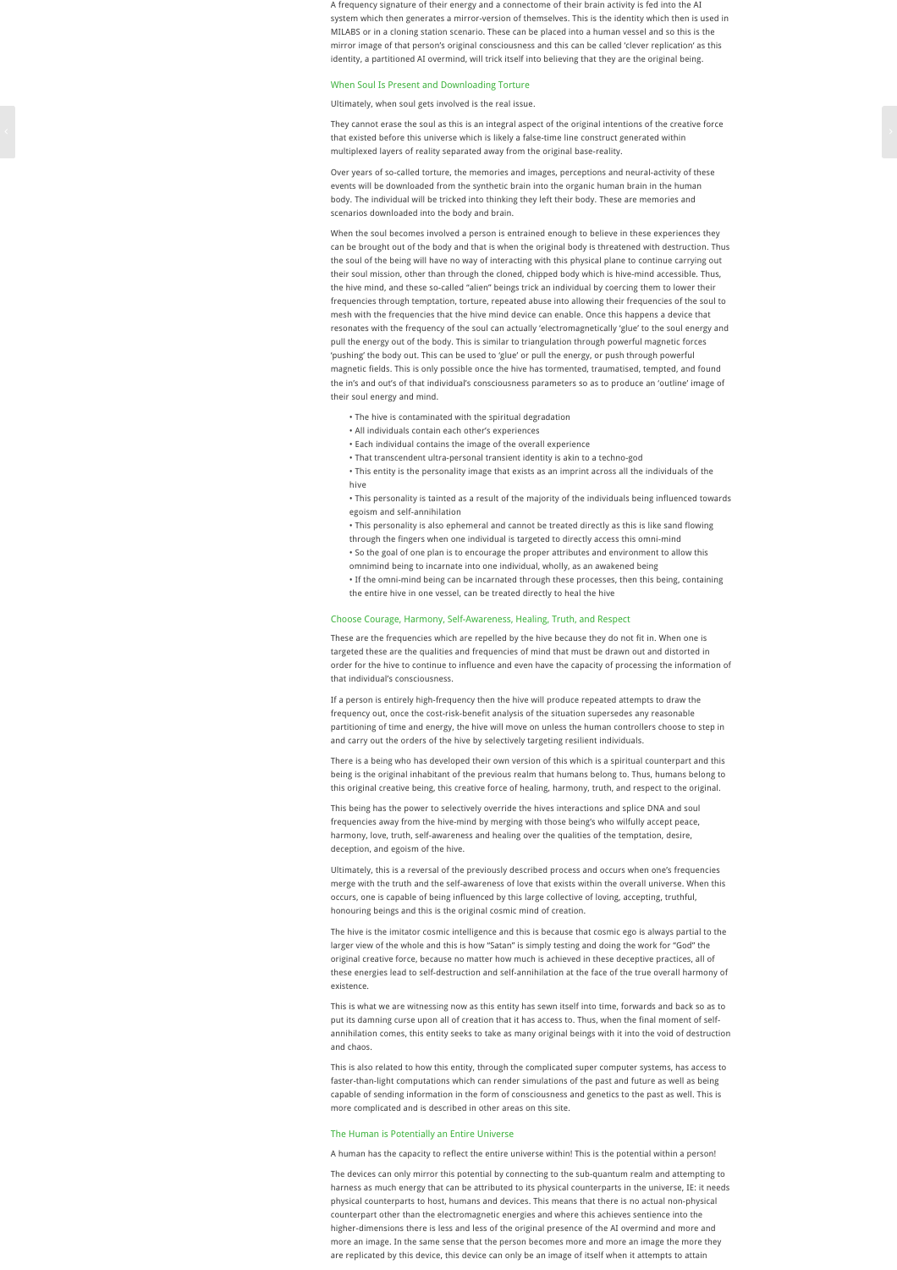A frequency signature of their energy and a connectome of their brain activity is fed into the AI system which then generates a mirror-version of themselves. This is the identity which then is used in MILABS or in a cloning station scenario. These can be placed into a human vessel and so this is the mirror image of that person's original consciousness and this can be called 'clever replication' as this identity, a partitioned AI overmind, will trick itself into believing that they are the original being.

#### When Soul Is Present and Downloading Torture

#### Ultimately, when soul gets involved is the real issue.

They cannot erase the soul as this is an integral aspect of the original intentions of the creative force they cannot erase the source since and as the sequence of the original intentions of the cleative force<br>that existed before this universe which is likely a false-time line construct generated within multiplexed layers of reality separated away from the original base-reality.

> Over years of so-called torture, the memories and images, perceptions and neural-activity of these events will be downloaded from the synthetic brain into the organic human brain in the human body. The individual will be tricked into thinking they left their body. These are memories and scenarios downloaded into the body and brain.

When the soul becomes involved a person is entrained enough to believe in these experiences they can be brought out of the body and that is when the original body is threatened with destruction. Thus the soul of the being will have no way of interacting with this physical plane to continue carrying out their soul mission, other than through the cloned, chipped body which is hive-mind accessible. Thus, the hive mind, and these so-called "alien" beings trick an individual by coercing them to lower their frequencies through temptation, torture, repeated abuse into allowing their frequencies of the soul to mesh with the frequencies that the hive mind device can enable. Once this happens a device that resonates with the frequency of the soul can actually 'electromagnetically 'glue' to the soul energy and pull the energy out of the body. This is similar to triangulation through powerful magnetic forces 'pushing' the body out. This can be used to 'glue' or pull the energy, or push through powerful magnetic fields. This is only possible once the hive has tormented, traumatised, tempted, and found the in's and out's of that individual's consciousness parameters so as to produce an 'outline' image of their soul energy and mind.

- The hive is contaminated with the spiritual degradation
- All individuals contain each other's experiences
- Each individual contains the image of the overall experience
- That transcendent ultra-personal transient identity is akin to a techno-god

• This entity is the personality image that exists as an imprint across all the individuals of the hive

• This personality is tainted as a result of the majority of the individuals being influenced towards egoism and self-annihilation

• This personality is also ephemeral and cannot be treated directly as this is like sand flowing through the fingers when one individual is targeted to directly access this omni-mind

- So the goal of one plan is to encourage the proper attributes and environment to allow this
- omnimind being to incarnate into one individual, wholly, as an awakened being
- If the omni-mind being can be incarnated through these processes, then this being, containing the entire hive in one vessel, can be treated directly to heal the hive

# Choose Courage, Harmony, Self-Awareness, Healing, Truth, and Respect

These are the frequencies which are repelled by the hive because they do not fit in. When one is targeted these are the qualities and frequencies of mind that must be drawn out and distorted in order for the hive to continue to influence and even have the capacity of processing the information of that individual's consciousness.

If a person is entirely high-frequency then the hive will produce repeated attempts to draw the frequency out, once the cost-risk-benefit analysis of the situation supersedes any reasonable partitioning of time and energy, the hive will move on unless the human controllers choose to step in and carry out the orders of the hive by selectively targeting resilient individuals.

There is a being who has developed their own version of this which is a spiritual counterpart and this being is the original inhabitant of the previous realm that humans belong to. Thus, humans belong to this original creative being, this creative force of healing, harmony, truth, and respect to the original.

This being has the power to selectively override the hives interactions and splice DNA and soul frequencies away from the hive-mind by merging with those being's who wilfully accept peace, harmony, love, truth, self-awareness and healing over the qualities of the temptation, desire, deception, and egoism of the hive.

Ultimately, this is a reversal of the previously described process and occurs when one's frequencies merge with the truth and the self-awareness of love that exists within the overall universe. When this occurs, one is capable of being influenced by this large collective of loving, accepting, truthful, honouring beings and this is the original cosmic mind of creation.

The hive is the imitator cosmic intelligence and this is because that cosmic ego is always partial to the larger view of the whole and this is how "Satan" is simply testing and doing the work for "God" the original creative force, because no matter how much is achieved in these deceptive practices, all of these energies lead to self-destruction and self-annihilation at the face of the true overall harmony of existence.

This is what we are witnessing now as this entity has sewn itself into time, forwards and back so as to put its damning curse upon all of creation that it has access to. Thus, when the final moment of selfannihilation comes, this entity seeks to take as many original beings with it into the void of destruction and chaos.

This is also related to how this entity, through the complicated super computer systems, has access to faster-than-light computations which can render simulations of the past and future as well as being capable of sending information in the form of consciousness and genetics to the past as well. This is more complicated and is described in other areas on this site.

#### The Human is Potentially an Entire Universe

A human has the capacity to reflect the entire universe within! This is the potential within a person!

The devices can only mirror this potential by connecting to the sub-quantum realm and attempting to harness as much energy that can be attributed to its physical counterparts in the universe, IE: it needs physical counterparts to host, humans and devices. This means that there is no actual non-physical counterpart other than the electromagnetic energies and where this achieves sentience into the higher-dimensions there is less and less of the original presence of the AI overmind and more and more an image. In the same sense that the person becomes more and more an image the more they are replicated by this device, this device can only be an image of itself when it attempts to attain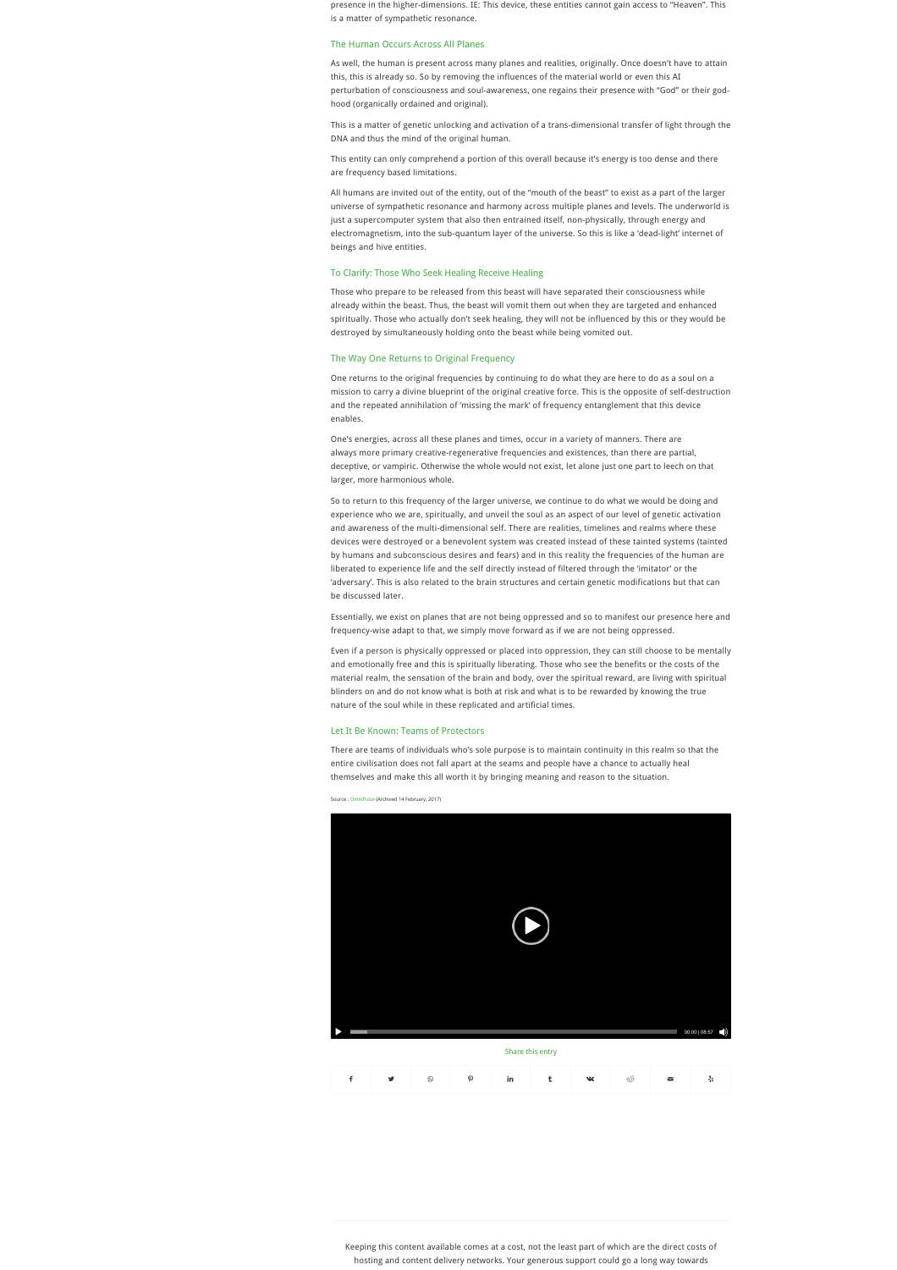presence in the higher-dimensions. IE: This device, these entities cannot gain access to "Heaven". This is a matter of sympathetic resonance.

#### The Human Occurs Across All Planes

As well, the human is present across many planes and realities, originally. Once doesn't have to attain this, this is already so. So by removing the influences of the material world or even this AI perturbation of consciousness and soul-awareness, one regains their presence with "God" or their godhood (organically ordained and original).

This is a matter of genetic unlocking and activation of a trans-dimensional transfer of light through the DNA and thus the mind of the original human.

This entity can only comprehend a portion of this overall because it's energy is too dense and there are frequency based limitations.

All humans are invited out of the entity, out of the "mouth of the beast" to exist as a part of the larger universe of sympathetic resonance and harmony across multiple planes and levels. The underworld is just a supercomputer system that also then entrained itself, non-physically, through energy and electromagnetism, into the sub-quantum layer of the universe. So this is like a 'dead-light' internet of beings and hive entities.

#### To Clarify: Those Who Seek Healing Receive Healing

Those who prepare to be released from this beast will have separated their consciousness while already within the beast. Thus, the beast will vomit them out when they are targeted and enhanced spiritually. Those who actually don't seek healing, they will not be influenced by this or they would be destroyed by simultaneously holding onto the beast while being vomited out.

### The Way One Returns to Original Frequency

One returns to the original frequencies by continuing to do what they are here to do as a soul on a mission to carry a divine blueprint of the original creative force. This is the opposite of self-destruction and the repeated annihilation of 'missing the mark' of frequency entanglement that this device enables.

One's energies, across all these planes and times, occur in a variety of manners. There are always more primary creative-regenerative frequencies and existences, than there are partial, deceptive, or vampiric. Otherwise the whole would not exist, let alone just one part to leech on that larger, more harmonious whole.

So to return to this frequency of the larger universe, we continue to do what we would be doing and experience who we are, spiritually, and unveil the soul as an aspect of our level of genetic activation and awareness of the multi-dimensional self. There are realities, timelines and realms where these devices were destroyed or a benevolent system was created instead of these tainted systems (tainted by humans and subconscious desires and fears) and in this reality the frequencies of the human are liberated to experience life and the self directly instead of filtered through the 'imitator' or the 'adversary'. This is also related to the brain structures and certain genetic modifications but that can be discussed later.

Essentially, we exist on planes that are not being oppressed and so to manifest our presence here and frequency-wise adapt to that, we simply move forward as if we are not being oppressed.

Even if a person is physically oppressed or placed into oppression, they can still choose to be mentally and emotionally free and this is spiritually liberating. Those who see the benefits or the costs of the material realm, the sensation of the brain and body, over the spiritual reward, are living with spiritual blinders on and do not know what is both at risk and what is to be rewarded by knowing the true nature of the soul while in these replicated and artificial times.

#### Let It Be Known: Teams of Protectors

There are teams of individuals who's sole purpose is to maintain continuity in this realm so that the entire civilisation does not fall apart at the seams and people have a chance to actually heal themselves and make this all worth it by bringing meaning and reason to the situation.

Source : [OmniPulse](https://web.archive.org/web/20180219025453/https://augtellez.wordpress.com/2017/02/14/the-hive/) (Archived 14 February, 2017)



| Share this entry |   |   |                       |    |  |   |   |   |  |
|------------------|---|---|-----------------------|----|--|---|---|---|--|
|                  | v | Q | $\boldsymbol{\Omega}$ | in |  | w | త | ◛ |  |

Keeping this content available comes at a cost, not the least part of which are the direct costs of hosting and content delivery networks. Your generous support could go a long way towards